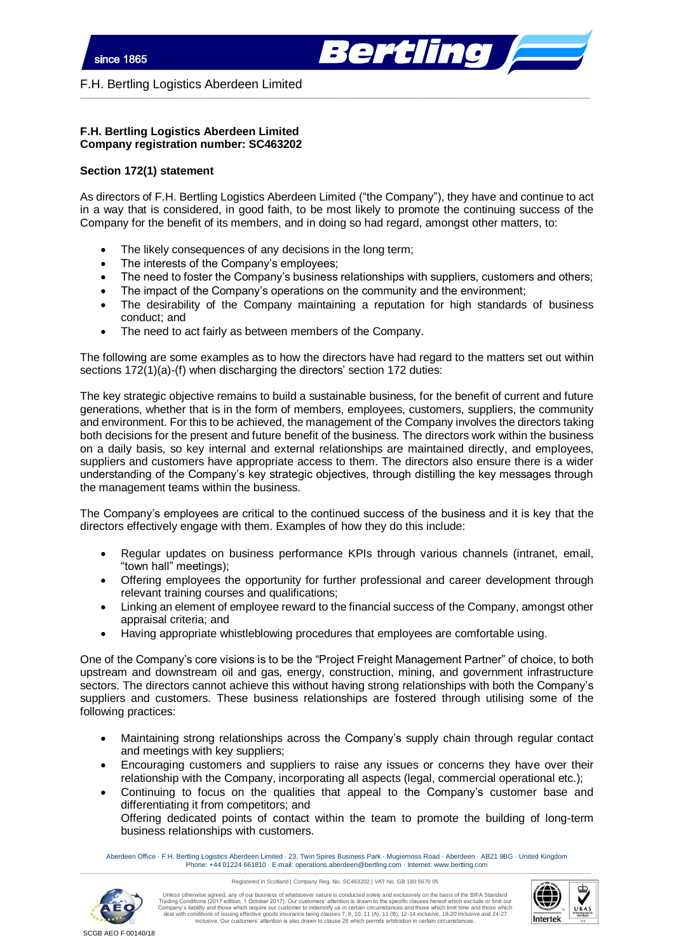

F.H. Bertling Logistics Aberdeen Limited

## **F.H. Bertling Logistics Aberdeen Limited Company registration number: SC463202**

## **Section 172(1) statement**

As directors of F.H. Bertling Logistics Aberdeen Limited ("the Company"), they have and continue to act in a way that is considered, in good faith, to be most likely to promote the continuing success of the Company for the benefit of its members, and in doing so had regard, amongst other matters, to:

 $\_$  , and the set of the set of the set of the set of the set of the set of the set of the set of the set of the set of the set of the set of the set of the set of the set of the set of the set of the set of the set of th

- The likely consequences of any decisions in the long term;
- The interests of the Company's employees;
- The need to foster the Company's business relationships with suppliers, customers and others;
- The impact of the Company's operations on the community and the environment;
- The desirability of the Company maintaining a reputation for high standards of business conduct; and
- The need to act fairly as between members of the Company.

The following are some examples as to how the directors have had regard to the matters set out within sections 172(1)(a)-(f) when discharging the directors' section 172 duties:

The key strategic objective remains to build a sustainable business, for the benefit of current and future generations, whether that is in the form of members, employees, customers, suppliers, the community and environment. For this to be achieved, the management of the Company involves the directors taking both decisions for the present and future benefit of the business. The directors work within the business on a daily basis, so key internal and external relationships are maintained directly, and employees, suppliers and customers have appropriate access to them. The directors also ensure there is a wider understanding of the Company's key strategic objectives, through distilling the key messages through the management teams within the business.

The Company's employees are critical to the continued success of the business and it is key that the directors effectively engage with them. Examples of how they do this include:

- Regular updates on business performance KPIs through various channels (intranet, email, "town hall" meetings);
- Offering employees the opportunity for further professional and career development through relevant training courses and qualifications;
- Linking an element of employee reward to the financial success of the Company, amongst other appraisal criteria; and
- Having appropriate whistleblowing procedures that employees are comfortable using.

One of the Company's core visions is to be the "Project Freight Management Partner" of choice, to both upstream and downstream oil and gas, energy, construction, mining, and government infrastructure sectors. The directors cannot achieve this without having strong relationships with both the Company's suppliers and customers. These business relationships are fostered through utilising some of the following practices:

- Maintaining strong relationships across the Company's supply chain through regular contact and meetings with key suppliers;
- Encouraging customers and suppliers to raise any issues or concerns they have over their relationship with the Company, incorporating all aspects (legal, commercial operational etc.);
- Continuing to focus on the qualities that appeal to the Company's customer base and differentiating it from competitors; and Offering dedicated points of contact within the team to promote the building of long-term business relationships with customers.

Aberdeen Office · F.H. Bertling Logistics Aberdeen Limited · 23, Twin Spires Business Park · Mugiemoss Road · Aberdeen · AB21 9BG · United Kingdom Phone: +44 01224 661810 · E-mail: operations.aberdeen@bertling.com · Internet: www.bertling.com \_\_\_\_\_\_\_\_\_\_\_\_\_\_\_\_\_\_\_\_\_\_\_\_\_\_\_\_\_\_\_\_\_\_\_\_\_\_\_\_\_\_\_\_\_\_\_\_\_\_\_\_\_\_\_\_\_\_\_\_\_\_\_\_\_\_\_\_\_\_\_\_\_\_\_\_\_\_\_\_\_\_\_\_\_\_\_\_\_\_\_\_\_\_\_\_\_\_\_\_\_\_\_\_\_\_\_\_\_\_\_\_\_\_\_\_\_\_\_\_\_\_\_\_\_\_\_\_\_\_\_\_\_\_\_\_\_\_\_\_\_\_\_\_\_\_\_\_\_\_\_\_\_\_\_\_\_\_\_\_\_\_\_\_\_\_\_\_\_\_\_\_\_\_\_\_\_\_\_\_\_\_\_\_\_\_\_\_\_\_\_\_\_\_\_\_\_\_\_\_\_\_\_

Registered in Scotland | Company Reg. No. SC463202 | VAT No. GB 180 5670 05



Unless otherwise agreed, any of our business of whatsoever nature is conducted solely and exclusively on the basis of the BIFA Standard<br>Trading Conditions (2017 edition, 1 October 2017). Our customers' attention is drawn t